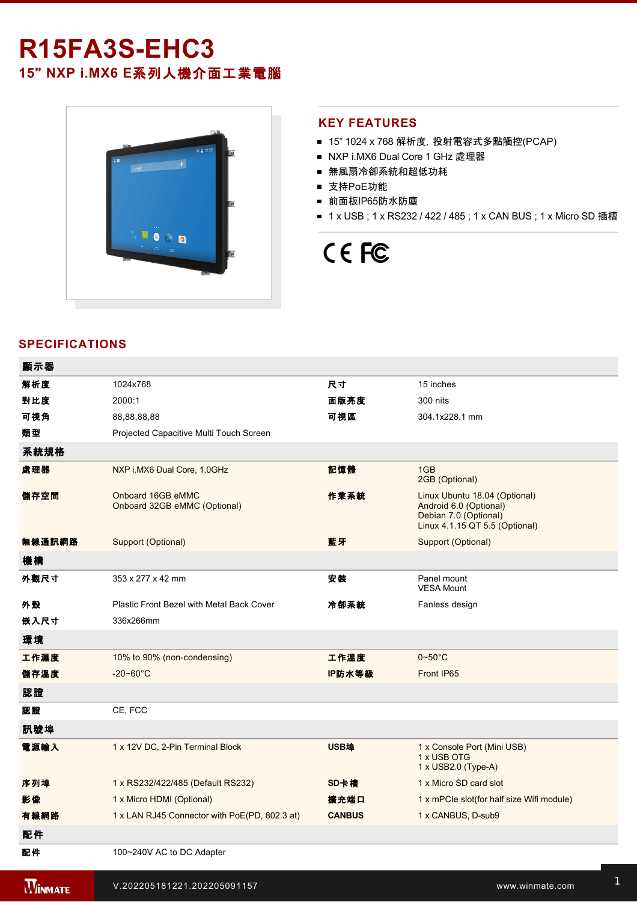# **R15FA3SEHC3 15" NXP i.MX6 E**系列人機介面工業電腦



#### **KEY FEATURES**

- 15" 1024 x 768 解析度, 投射電容式多點觸控(PCAP)
- NXP i.MX6 Dual Core 1 GHz 處理器
- 無風扇冷卻系統和超低功耗
- 支持PoE功能
- 前面板IP65防水防塵
- 1 x USB ; 1 x RS232 / 422 / 485 ; 1 x CAN BUS ; 1 x Micro SD 插槽

# CE FC

### **SPECIFICATIONS**

| 顯示器            |                                                   |               |                                                                                                                    |
|----------------|---------------------------------------------------|---------------|--------------------------------------------------------------------------------------------------------------------|
| 解析度            | 1024x768                                          | 尺寸            | 15 inches                                                                                                          |
| 對比度            | 2000:1                                            | 面版亮度          | 300 nits                                                                                                           |
| 可視角            | 88,88,88,88                                       | 可視區           | 304.1x228.1 mm                                                                                                     |
| 類型             | Projected Capacitive Multi Touch Screen           |               |                                                                                                                    |
| 系統規格           |                                                   |               |                                                                                                                    |
| 處理器            | NXP i.MX6 Dual Core, 1.0GHz                       | 記憶體           | 1GB<br>2GB (Optional)                                                                                              |
| 儲存空間           | Onboard 16GB eMMC<br>Onboard 32GB eMMC (Optional) | 作業系統          | Linux Ubuntu 18.04 (Optional)<br>Android 6.0 (Optional)<br>Debian 7.0 (Optional)<br>Linux 4.1.15 QT 5.5 (Optional) |
| 無線通訊網路         | Support (Optional)                                | 藍牙            | Support (Optional)                                                                                                 |
| 機構             |                                                   |               |                                                                                                                    |
| 外觀尺寸           | 353 x 277 x 42 mm                                 | 安裝            | Panel mount<br><b>VESA Mount</b>                                                                                   |
| 外殼             | Plastic Front Bezel with Metal Back Cover         | 冷卻系統          | Fanless design                                                                                                     |
| 嵌入尺寸           | 336x266mm                                         |               |                                                                                                                    |
| 環境             |                                                   |               |                                                                                                                    |
| 工作濕度           | 10% to 90% (non-condensing)                       | 工作溫度          | $0 - 50^{\circ}$ C                                                                                                 |
| 儲存溫度           | $-20 - 60^{\circ}$ C                              | IP防水等級        | Front IP65                                                                                                         |
| 認證             |                                                   |               |                                                                                                                    |
| 認證             | CE, FCC                                           |               |                                                                                                                    |
| 訊號埠            |                                                   |               |                                                                                                                    |
| 電源輸入           | 1 x 12V DC, 2-Pin Terminal Block                  | USB埠          | 1 x Console Port (Mini USB)<br>1 x USB OTG<br>1 x USB2.0 (Type-A)                                                  |
| 序列埠            | 1 x RS232/422/485 (Default RS232)                 | SD卡槽          | 1 x Micro SD card slot                                                                                             |
| 影像             | 1 x Micro HDMI (Optional)                         | 擴充端口          | 1 x mPCle slot(for half size Wifi module)                                                                          |
| 有線網路           | 1 x LAN RJ45 Connector with PoE(PD, 802.3 at)     | <b>CANBUS</b> | 1 x CANBUS, D-sub9                                                                                                 |
| 配件             |                                                   |               |                                                                                                                    |
| 配件             | 100~240V AC to DC Adapter                         |               |                                                                                                                    |
| <b>WINMATE</b> | V.202205181221.202205091157                       |               | www.winmate.com                                                                                                    |